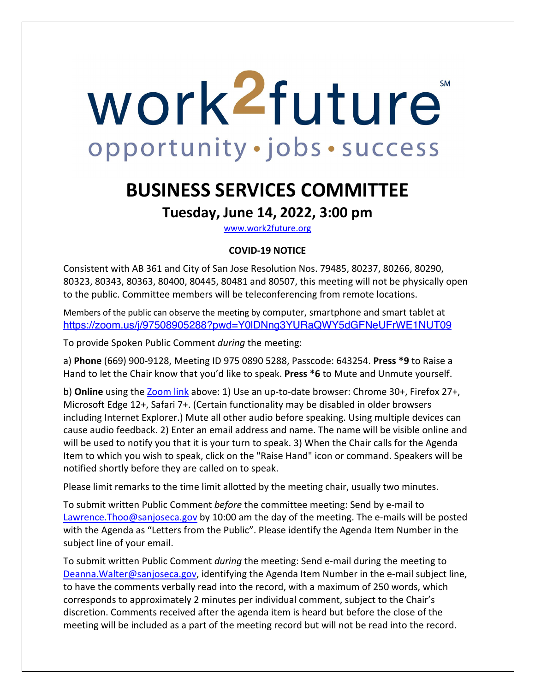# work<sup>2</sup>future **SM** opportunity · jobs · success

## **BUSINESS SERVICES COMMITTEE**

### **Tuesday, June 14, 2022, 3:00 pm**

www.work2future.org

#### **COVID-19 NOTICE**

Consistent with AB 361 and City of San Jose Resolution Nos. 79485, 80237, 80266, 80290, 80323, 80343, 80363, 80400, 80445, 80481 and 80507, this meeting will not be physically open to the public. Committee members will be teleconferencing from remote locations.

Members of the public can observe the meeting by computer, smartphone and smart tablet at https://zoom.us/j/97508905288?pwd=Y0lDNng3YURaQWY5dGFNeUFrWE1NUT09

To provide Spoken Public Comment *during* the meeting:

a) **Phone** (669) 900-9128, Meeting ID 975 0890 5288, Passcode: 643254. **Press \*9** to Raise a Hand to let the Chair know that you'd like to speak. **Press \*6** to Mute and Unmute yourself.

b) **Online** using the Zoom link above: 1) Use an up-to-date browser: Chrome 30+, Firefox 27+, Microsoft Edge 12+, Safari 7+. (Certain functionality may be disabled in older browsers including Internet Explorer.) Mute all other audio before speaking. Using multiple devices can cause audio feedback. 2) Enter an email address and name. The name will be visible online and will be used to notify you that it is your turn to speak. 3) When the Chair calls for the Agenda Item to which you wish to speak, click on the "Raise Hand" icon or command. Speakers will be notified shortly before they are called on to speak.

Please limit remarks to the time limit allotted by the meeting chair, usually two minutes.

To submit written Public Comment *before* the committee meeting: Send by e-mail to Lawrence.Thoo@sanjoseca.gov by 10:00 am the day of the meeting. The e-mails will be posted with the Agenda as "Letters from the Public". Please identify the Agenda Item Number in the subject line of your email.

To submit written Public Comment *during* the meeting: Send e-mail during the meeting to Deanna.Walter@sanjoseca.gov, identifying the Agenda Item Number in the e-mail subject line, to have the comments verbally read into the record, with a maximum of 250 words, which corresponds to approximately 2 minutes per individual comment, subject to the Chair's discretion. Comments received after the agenda item is heard but before the close of the meeting will be included as a part of the meeting record but will not be read into the record.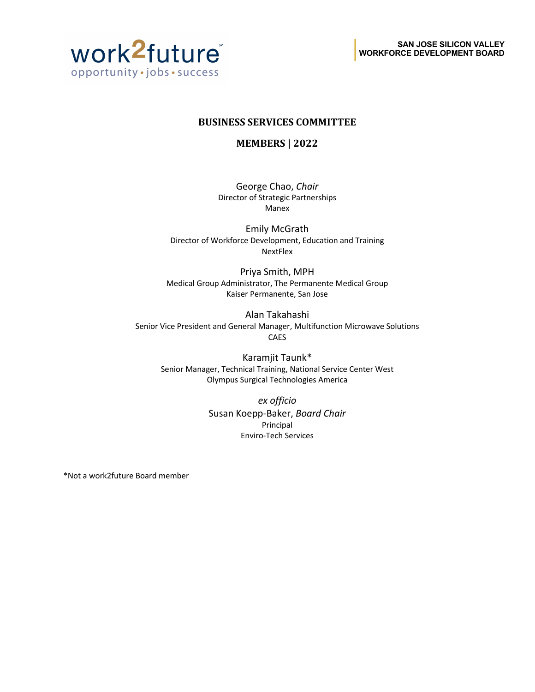

#### **BUSINESS SERVICES COMMITTEE**

**MEMBERS | 2022** 

George Chao, *Chair* Director of Strategic Partnerships Manex

Emily McGrath Director of Workforce Development, Education and Training NextFlex

Priya Smith, MPH Medical Group Administrator, The Permanente Medical Group Kaiser Permanente, San Jose

Alan Takahashi Senior Vice President and General Manager, Multifunction Microwave Solutions CAES

Karamjit Taunk\* Senior Manager, Technical Training, National Service Center West Olympus Surgical Technologies America

> *ex officio* Susan Koepp-Baker, *Board Chair* Principal Enviro-Tech Services

\*Not a work2future Board member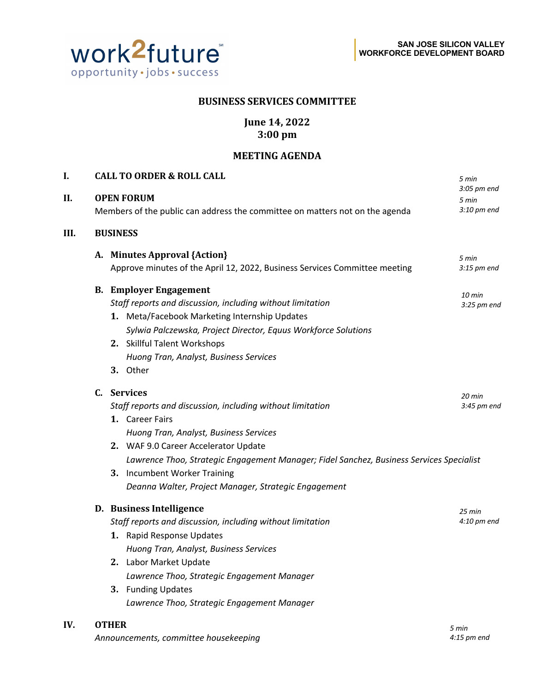

*Announcements, committee housekeeping*

*4:15 pm end*

#### **BUSINESS SERVICES COMMITTEE**

#### **June 14, 2022 3:00 pm**

#### **MEETING AGENDA**

| I.   |                                                                                                   | <b>CALL TO ORDER &amp; ROLL CALL</b>                                                     | 5 min                |
|------|---------------------------------------------------------------------------------------------------|------------------------------------------------------------------------------------------|----------------------|
| II.  | <b>OPEN FORUM</b><br>Members of the public can address the committee on matters not on the agenda |                                                                                          | 3:05 pm end<br>5 min |
|      |                                                                                                   |                                                                                          | 3:10 pm end          |
| III. |                                                                                                   | <b>BUSINESS</b>                                                                          |                      |
|      |                                                                                                   | A. Minutes Approval {Action}                                                             | 5 min                |
|      |                                                                                                   | Approve minutes of the April 12, 2022, Business Services Committee meeting               | $3:15$ pm end        |
|      |                                                                                                   | <b>B. Employer Engagement</b>                                                            | 10 min               |
|      |                                                                                                   | Staff reports and discussion, including without limitation                               | $3:25$ pm end        |
|      |                                                                                                   | 1. Meta/Facebook Marketing Internship Updates                                            |                      |
|      |                                                                                                   | Sylwia Palczewska, Project Director, Equus Workforce Solutions                           |                      |
|      |                                                                                                   | 2. Skillful Talent Workshops                                                             |                      |
|      |                                                                                                   | Huong Tran, Analyst, Business Services                                                   |                      |
|      |                                                                                                   | 3. Other                                                                                 |                      |
|      |                                                                                                   | C. Services                                                                              | $20$ min             |
|      |                                                                                                   | Staff reports and discussion, including without limitation                               | 3:45 pm end          |
|      |                                                                                                   | 1. Career Fairs                                                                          |                      |
|      |                                                                                                   | Huong Tran, Analyst, Business Services                                                   |                      |
|      |                                                                                                   | 2. WAF 9.0 Career Accelerator Update                                                     |                      |
|      |                                                                                                   | Lawrence Thoo, Strategic Engagement Manager; Fidel Sanchez, Business Services Specialist |                      |
|      |                                                                                                   | 3. Incumbent Worker Training                                                             |                      |
|      |                                                                                                   | Deanna Walter, Project Manager, Strategic Engagement                                     |                      |
|      |                                                                                                   | D. Business Intelligence                                                                 | 25 min               |
|      |                                                                                                   | Staff reports and discussion, including without limitation                               | $4:10$ pm end        |
|      |                                                                                                   | 1. Rapid Response Updates                                                                |                      |
|      |                                                                                                   | Huong Tran, Analyst, Business Services                                                   |                      |
|      |                                                                                                   | 2. Labor Market Update                                                                   |                      |
|      |                                                                                                   | Lawrence Thoo, Strategic Engagement Manager                                              |                      |
|      |                                                                                                   | 3. Funding Updates                                                                       |                      |
|      |                                                                                                   | Lawrence Thoo, Strategic Engagement Manager                                              |                      |
| IV.  |                                                                                                   | <b>OTHER</b>                                                                             | 5 min                |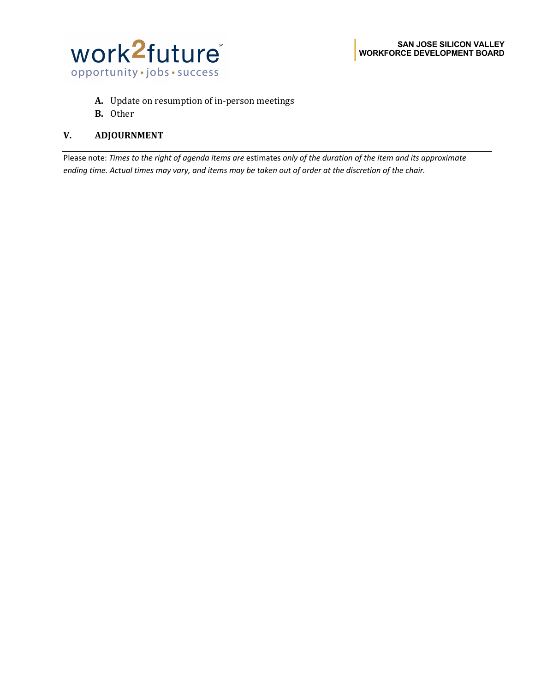

- A. Update on resumption of in-person meetings
- **B.** Other

#### **V. ADJOURNMENT**

Please note: *Times to the right of agenda items are* estimates *only of the duration of the item and its approximate ending time. Actual times may vary, and items may be taken out of order at the discretion of the chair.*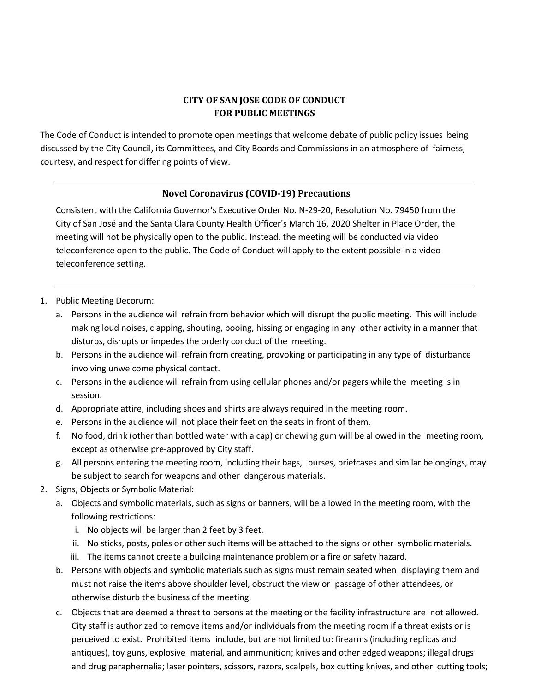#### **CITY OF SAN JOSE CODE OF CONDUCT FOR PUBLIC MEETINGS**

The Code of Conduct is intended to promote open meetings that welcome debate of public policy issues being discussed by the City Council, its Committees, and City Boards and Commissions in an atmosphere of fairness, courtesy, and respect for differing points of view.

#### **Novel Coronavirus (COVID-19) Precautions**

Consistent with the California Governor's Executive Order No. N-29-20, Resolution No. 79450 from the City of San José and the Santa Clara County Health Officer's March 16, 2020 Shelter in Place Order, the meeting will not be physically open to the public. Instead, the meeting will be conducted via video teleconference open to the public. The Code of Conduct will apply to the extent possible in a video teleconference setting.

- 1. Public Meeting Decorum:
	- a. Persons in the audience will refrain from behavior which will disrupt the public meeting. This will include making loud noises, clapping, shouting, booing, hissing or engaging in any other activity in a manner that disturbs, disrupts or impedes the orderly conduct of the meeting.
	- b. Persons in the audience will refrain from creating, provoking or participating in any type of disturbance involving unwelcome physical contact.
	- c. Persons in the audience will refrain from using cellular phones and/or pagers while the meeting is in session.
	- d. Appropriate attire, including shoes and shirts are always required in the meeting room.
	- e. Persons in the audience will not place their feet on the seats in front of them.
	- f. No food, drink (other than bottled water with a cap) or chewing gum will be allowed in the meeting room, except as otherwise pre-approved by City staff.
	- g. All persons entering the meeting room, including their bags, purses, briefcases and similar belongings, may be subject to search for weapons and other dangerous materials.
- 2. Signs, Objects or Symbolic Material:
	- a. Objects and symbolic materials, such as signs or banners, will be allowed in the meeting room, with the following restrictions:
		- i. No objects will be larger than 2 feet by 3 feet.
		- ii. No sticks, posts, poles or other such items will be attached to the signs or other symbolic materials.
		- iii. The items cannot create a building maintenance problem or a fire or safety hazard.
	- b. Persons with objects and symbolic materials such as signs must remain seated when displaying them and must not raise the items above shoulder level, obstruct the view or passage of other attendees, or otherwise disturb the business of the meeting.
	- c. Objects that are deemed a threat to persons at the meeting or the facility infrastructure are not allowed. City staff is authorized to remove items and/or individuals from the meeting room if a threat exists or is perceived to exist. Prohibited items include, but are not limited to: firearms (including replicas and antiques), toy guns, explosive material, and ammunition; knives and other edged weapons; illegal drugs and drug paraphernalia; laser pointers, scissors, razors, scalpels, box cutting knives, and other cutting tools;